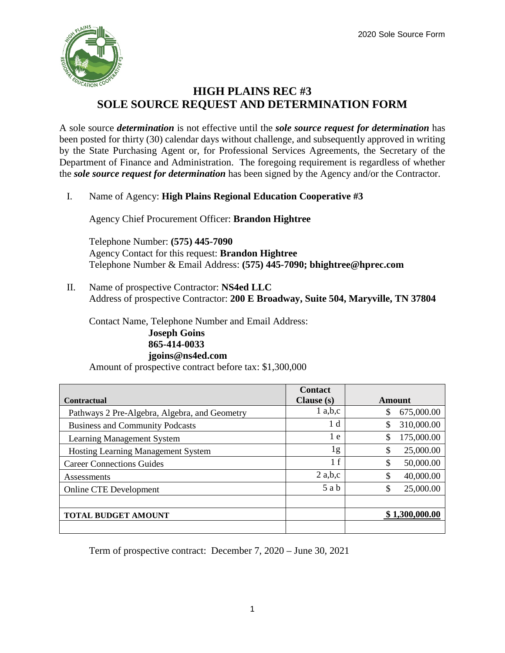

# **HIGH PLAINS REC #3 SOLE SOURCE REQUEST AND DETERMINATION FORM**

A sole source *determination* is not effective until the *sole source request for determination* has been posted for thirty (30) calendar days without challenge, and subsequently approved in writing by the State Purchasing Agent or, for Professional Services Agreements, the Secretary of the Department of Finance and Administration. The foregoing requirement is regardless of whether the *sole source request for determination* has been signed by the Agency and/or the Contractor.

I. Name of Agency: **High Plains Regional Education Cooperative #3**

Agency Chief Procurement Officer: **Brandon Hightree**

Telephone Number: **(575) 445-7090** Agency Contact for this request: **Brandon Hightree** Telephone Number & Email Address: **(575) 445-7090; bhightree@hprec.com**

II. Name of prospective Contractor: **NS4ed LLC** Address of prospective Contractor: **200 E Broadway, Suite 504, Maryville, TN 37804**

Contact Name, Telephone Number and Email Address: **Joseph Goins 865-414-0033 jgoins@ns4ed.com** Amount of prospective contract before tax: \$1,300,000

|                                               | <b>Contact</b> |                  |
|-----------------------------------------------|----------------|------------------|
| <b>Contractual</b>                            | Clause $(s)$   | Amount           |
| Pathways 2 Pre-Algebra, Algebra, and Geometry | $1$ a,b,c      | 675,000.00<br>\$ |
| <b>Business and Community Podcasts</b>        | 1 d            | 310,000.00<br>\$ |
| Learning Management System                    | l e            | \$<br>175,000.00 |
| <b>Hosting Learning Management System</b>     | 1g             | \$<br>25,000.00  |
| <b>Career Connections Guides</b>              | 1 f            | \$<br>50,000.00  |
| Assessments                                   | $2$ a,b,c      | \$<br>40,000.00  |
| <b>Online CTE Development</b>                 | 5ab            | \$<br>25,000.00  |
|                                               |                |                  |
| <b>TOTAL BUDGET AMOUNT</b>                    |                | \$1,300,000.00   |
|                                               |                |                  |

Term of prospective contract: December 7, 2020 – June 30, 2021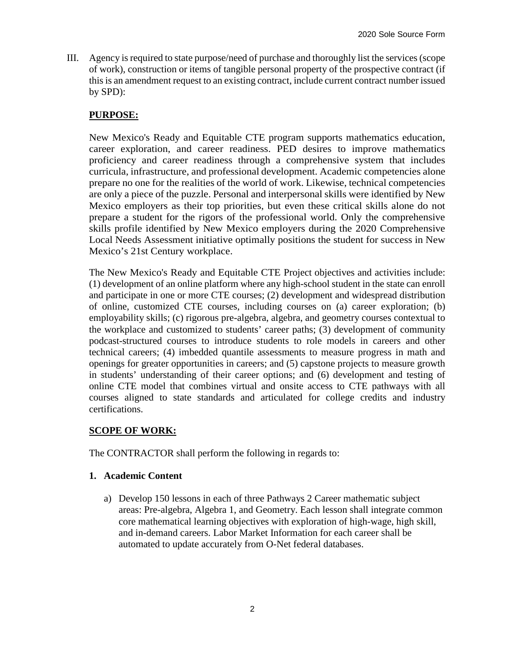III. Agency is required to state purpose/need of purchase and thoroughly list the services (scope of work), construction or items of tangible personal property of the prospective contract (if this is an amendment request to an existing contract, include current contract number issued by SPD):

## **PURPOSE:**

New Mexico's Ready and Equitable CTE program supports mathematics education, career exploration, and career readiness. PED desires to improve mathematics proficiency and career readiness through a comprehensive system that includes curricula, infrastructure, and professional development. Academic competencies alone prepare no one for the realities of the world of work. Likewise, technical competencies are only a piece of the puzzle. Personal and interpersonal skills were identified by New Mexico employers as their top priorities, but even these critical skills alone do not prepare a student for the rigors of the professional world. Only the comprehensive skills profile identified by New Mexico employers during the 2020 Comprehensive Local Needs Assessment initiative optimally positions the student for success in New Mexico's 21st Century workplace.

The New Mexico's Ready and Equitable CTE Project objectives and activities include: (1) development of an online platform where any high-school student in the state can enroll and participate in one or more CTE courses; (2) development and widespread distribution of online, customized CTE courses, including courses on (a) career exploration; (b) employability skills; (c) rigorous pre-algebra, algebra, and geometry courses contextual to the workplace and customized to students' career paths; (3) development of community podcast-structured courses to introduce students to role models in careers and other technical careers; (4) imbedded quantile assessments to measure progress in math and openings for greater opportunities in careers; and (5) capstone projects to measure growth in students' understanding of their career options; and (6) development and testing of online CTE model that combines virtual and onsite access to CTE pathways with all courses aligned to state standards and articulated for college credits and industry certifications.

## **SCOPE OF WORK:**

The CONTRACTOR shall perform the following in regards to:

## **1. Academic Content**

a) Develop 150 lessons in each of three Pathways 2 Career mathematic subject areas: Pre-algebra, Algebra 1, and Geometry. Each lesson shall integrate common core mathematical learning objectives with exploration of high-wage, high skill, and in-demand careers. Labor Market Information for each career shall be automated to update accurately from O-Net federal databases.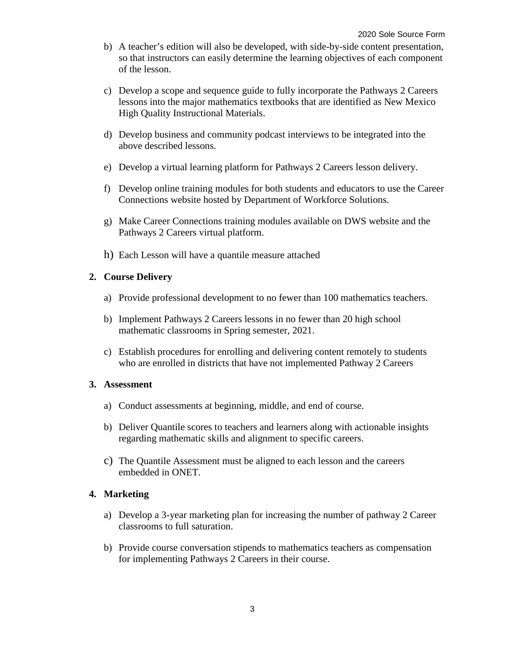- b) A teacher's edition will also be developed, with side-by-side content presentation, so that instructors can easily determine the learning objectives of each component of the lesson.
- c) Develop a scope and sequence guide to fully incorporate the Pathways 2 Careers lessons into the major mathematics textbooks that are identified as New Mexico High Quality Instructional Materials.
- d) Develop business and community podcast interviews to be integrated into the above described lessons.
- e) Develop a virtual learning platform for Pathways 2 Careers lesson delivery.
- f) Develop online training modules for both students and educators to use the Career Connections website hosted by Department of Workforce Solutions.
- g) Make Career Connections training modules available on DWS website and the Pathways 2 Careers virtual platform.
- h) Each Lesson will have a quantile measure attached

### **2. Course Delivery**

- a) Provide professional development to no fewer than 100 mathematics teachers.
- b) Implement Pathways 2 Careers lessons in no fewer than 20 high school mathematic classrooms in Spring semester, 2021.
- c) Establish procedures for enrolling and delivering content remotely to students who are enrolled in districts that have not implemented Pathway 2 Careers

#### **3. Assessment**

- a) Conduct assessments at beginning, middle, and end of course.
- b) Deliver Quantile scores to teachers and learners along with actionable insights regarding mathematic skills and alignment to specific careers.
- c) The Quantile Assessment must be aligned to each lesson and the careers embedded in ONET.

### **4. Marketing**

- a) Develop a 3-year marketing plan for increasing the number of pathway 2 Career classrooms to full saturation.
- b) Provide course conversation stipends to mathematics teachers as compensation for implementing Pathways 2 Careers in their course.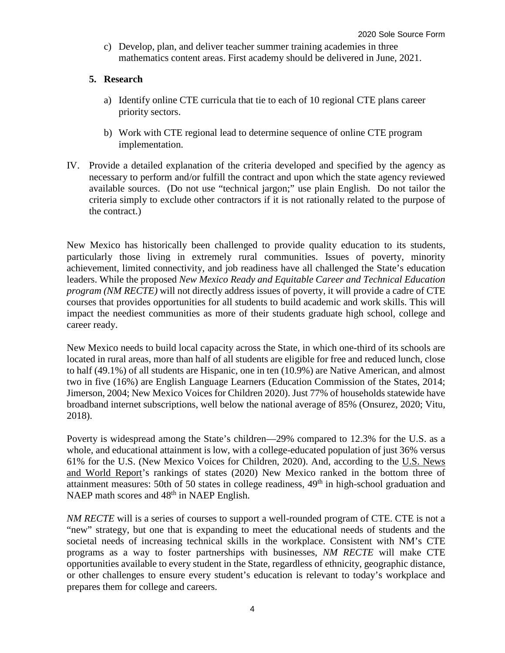c) Develop, plan, and deliver teacher summer training academies in three mathematics content areas. First academy should be delivered in June, 2021.

### **5. Research**

- a) Identify online CTE curricula that tie to each of 10 regional CTE plans career priority sectors.
- b) Work with CTE regional lead to determine sequence of online CTE program implementation.
- IV. Provide a detailed explanation of the criteria developed and specified by the agency as necessary to perform and/or fulfill the contract and upon which the state agency reviewed available sources. (Do not use "technical jargon;" use plain English. Do not tailor the criteria simply to exclude other contractors if it is not rationally related to the purpose of the contract.)

New Mexico has historically been challenged to provide quality education to its students, particularly those living in extremely rural communities. Issues of poverty, minority achievement, limited connectivity, and job readiness have all challenged the State's education leaders. While the proposed *New Mexico Ready and Equitable Career and Technical Education program (NM RECTE)* will not directly address issues of poverty, it will provide a cadre of CTE courses that provides opportunities for all students to build academic and work skills. This will impact the neediest communities as more of their students graduate high school, college and career ready.

New Mexico needs to build local capacity across the State, in which one-third of its schools are located in rural areas, more than half of all students are eligible for free and reduced lunch, close to half (49.1%) of all students are Hispanic, one in ten (10.9%) are Native American, and almost two in five (16%) are English Language Learners (Education Commission of the States, 2014; Jimerson, 2004; New Mexico Voices for Children 2020). Just 77% of households statewide have broadband internet subscriptions, well below the national average of 85% (Onsurez, 2020; Vitu, 2018).

Poverty is widespread among the State's children—29% compared to 12.3% for the U.S. as a whole, and educational attainment is low, with a college-educated population of just 36% versus 61% for the U.S. (New Mexico Voices for Children, 2020). And, according to the U.S. News and World Report's rankings of states (2020) New Mexico ranked in the bottom three of attainment measures: 50th of 50 states in college readiness,  $49<sup>th</sup>$  in high-school graduation and NAEP math scores and  $48<sup>th</sup>$  in NAEP English.

*NM RECTE* will is a series of courses to support a well-rounded program of CTE. CTE is not a "new" strategy, but one that is expanding to meet the educational needs of students and the societal needs of increasing technical skills in the workplace. Consistent with NM's CTE programs as a way to foster partnerships with businesses, *NM RECTE* will make CTE opportunities available to every student in the State, regardless of ethnicity, geographic distance, or other challenges to ensure every student's education is relevant to today's workplace and prepares them for college and careers.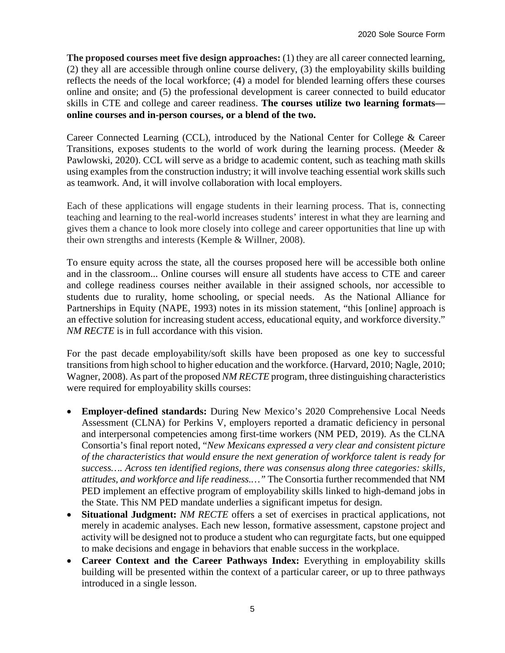**The proposed courses meet five design approaches:** (1) they are all career connected learning, (2) they all are accessible through online course delivery, (3) the employability skills building reflects the needs of the local workforce; (4) a model for blended learning offers these courses online and onsite; and (5) the professional development is career connected to build educator skills in CTE and college and career readiness. **The courses utilize two learning formats online courses and in-person courses, or a blend of the two.**

Career Connected Learning (CCL), introduced by the National Center for College & Career Transitions, exposes students to the world of work during the learning process. (Meeder  $\&$ Pawlowski, 2020). CCL will serve as a bridge to academic content, such as teaching math skills using examples from the construction industry; it will involve teaching essential work skills such as teamwork. And, it will involve collaboration with local employers.

Each of these applications will engage students in their learning process. That is, connecting teaching and learning to the real-world increases students' interest in what they are learning and gives them a chance to look more closely into college and career opportunities that line up with their own strengths and interests (Kemple & Willner, 2008).

To ensure equity across the state, all the courses proposed here will be accessible both online and in the classroom... Online courses will ensure all students have access to CTE and career and college readiness courses neither available in their assigned schools, nor accessible to students due to rurality, home schooling, or special needs. As the National Alliance for Partnerships in Equity (NAPE, 1993) notes in its mission statement, "this [online] approach is an effective solution for increasing student access, educational equity, and workforce diversity." *NM RECTE* is in full accordance with this vision.

For the past decade employability/soft skills have been proposed as one key to successful transitions from high school to higher education and the workforce. (Harvard, 2010; Nagle, 2010; Wagner, 2008). As part of the proposed *NM RECTE* program, three distinguishing characteristics were required for employability skills courses:

- **Employer-defined standards:** During New Mexico's 2020 Comprehensive Local Needs Assessment (CLNA) for Perkins V, employers reported a dramatic deficiency in personal and interpersonal competencies among first-time workers (NM PED, 2019). As the CLNA Consortia's final report noted, "*New Mexicans expressed a very clear and consistent picture of the characteristics that would ensure the next generation of workforce talent is ready for success…. Across ten identified regions, there was consensus along three categories: skills, attitudes, and workforce and life readiness.…"* The Consortia further recommended that NM PED implement an effective program of employability skills linked to high-demand jobs in the State. This NM PED mandate underlies a significant impetus for design.
- **Situational Judgment:** *NM RECTE* offers a set of exercises in practical applications, not merely in academic analyses. Each new lesson, formative assessment, capstone project and activity will be designed not to produce a student who can regurgitate facts, but one equipped to make decisions and engage in behaviors that enable success in the workplace.
- **Career Context and the Career Pathways Index:** Everything in employability skills building will be presented within the context of a particular career, or up to three pathways introduced in a single lesson.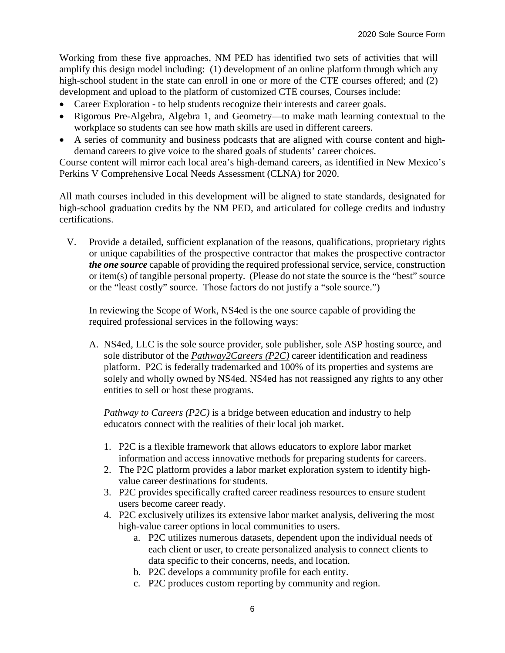Working from these five approaches, NM PED has identified two sets of activities that will amplify this design model including: (1) development of an online platform through which any high-school student in the state can enroll in one or more of the CTE courses offered; and (2) development and upload to the platform of customized CTE courses, Courses include:

- Career Exploration to help students recognize their interests and career goals.
- Rigorous Pre-Algebra, Algebra 1, and Geometry—to make math learning contextual to the workplace so students can see how math skills are used in different careers.
- A series of community and business podcasts that are aligned with course content and highdemand careers to give voice to the shared goals of students' career choices.

Course content will mirror each local area's high-demand careers, as identified in New Mexico's Perkins V Comprehensive Local Needs Assessment (CLNA) for 2020.

All math courses included in this development will be aligned to state standards, designated for high-school graduation credits by the NM PED, and articulated for college credits and industry certifications.

V. Provide a detailed, sufficient explanation of the reasons, qualifications, proprietary rights or unique capabilities of the prospective contractor that makes the prospective contractor *the one source* capable of providing the required professional service, service, construction or item(s) of tangible personal property. (Please do not state the source is the "best" source or the "least costly" source. Those factors do not justify a "sole source.")

In reviewing the Scope of Work, NS4ed is the one source capable of providing the required professional services in the following ways:

A. NS4ed, LLC is the sole source provider, sole publisher, sole ASP hosting source, and sole distributor of the *Pathway2Careers (P2C)* career identification and readiness platform. P2C is federally trademarked and 100% of its properties and systems are solely and wholly owned by NS4ed. NS4ed has not reassigned any rights to any other entities to sell or host these programs.

*Pathway to Careers (P2C)* is a bridge between education and industry to help educators connect with the realities of their local job market.

- 1. P2C is a flexible framework that allows educators to explore labor market information and access innovative methods for preparing students for careers.
- 2. The P2C platform provides a labor market exploration system to identify highvalue career destinations for students.
- 3. P2C provides specifically crafted career readiness resources to ensure student users become career ready.
- 4. P2C exclusively utilizes its extensive labor market analysis, delivering the most high-value career options in local communities to users.
	- a. P2C utilizes numerous datasets, dependent upon the individual needs of each client or user, to create personalized analysis to connect clients to data specific to their concerns, needs, and location.
	- b. P2C develops a community profile for each entity.
	- c. P2C produces custom reporting by community and region.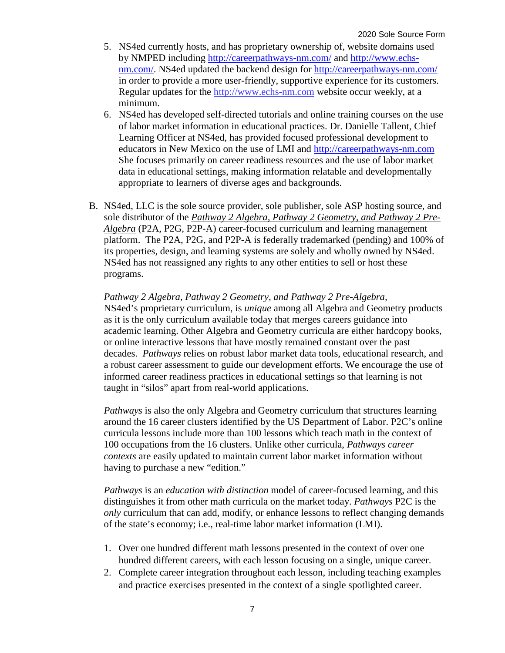- 5. NS4ed currently hosts, and has proprietary ownership of, website domains used by NMPED including<http://careerpathways-nm.com/> and [http://www.echs](http://www.echs-nm.com/)[nm.com/.](http://www.echs-nm.com/) NS4ed updated the backend design for<http://careerpathways-nm.com/> in order to provide a more user-friendly, supportive experience for its customers. Regular updates for the [http://www.echs-nm.com](http://www.echs-nm.com/) website occur weekly, at a minimum.
- 6. NS4ed has developed self-directed tutorials and online training courses on the use of labor market information in educational practices. Dr. Danielle Tallent, Chief Learning Officer at NS4ed, has provided focused professional development to educators in New Mexico on the use of LMI and [http://careerpathways-nm.com](http://careerpathways-nm.com/) She focuses primarily on career readiness resources and the use of labor market data in educational settings, making information relatable and developmentally appropriate to learners of diverse ages and backgrounds.
- B. NS4ed, LLC is the sole source provider, sole publisher, sole ASP hosting source, and sole distributor of the *Pathway 2 Algebra, Pathway 2 Geometry, and Pathway 2 Pre-Algebra* (P2A, P2G, P2P-A) career-focused curriculum and learning management platform. The P2A, P2G, and P2P-A is federally trademarked (pending) and 100% of its properties, design, and learning systems are solely and wholly owned by NS4ed. NS4ed has not reassigned any rights to any other entities to sell or host these programs.

*Pathway 2 Algebra, Pathway 2 Geometry, and Pathway 2 Pre-Algebra,* NS4ed's proprietary curriculum, is *unique* among all Algebra and Geometry products as it is the only curriculum available today that merges careers guidance into academic learning. Other Algebra and Geometry curricula are either hardcopy books, or online interactive lessons that have mostly remained constant over the past decades. *Pathways* relies on robust labor market data tools, educational research, and a robust career assessment to guide our development efforts. We encourage the use of informed career readiness practices in educational settings so that learning is not taught in "silos" apart from real-world applications.

*Pathways* is also the only Algebra and Geometry curriculum that structures learning around the 16 career clusters identified by the US Department of Labor. P2C's online curricula lessons include more than 100 lessons which teach math in the context of 100 occupations from the 16 clusters. Unlike other curricula, *Pathways career contexts* are easily updated to maintain current labor market information without having to purchase a new "edition."

*Pathways* is an *education with distinction* model of career-focused learning, and this distinguishes it from other math curricula on the market today. *Pathways* P2C is the *only* curriculum that can add, modify, or enhance lessons to reflect changing demands of the state's economy; i.e., real-time labor market information (LMI).

- 1. Over one hundred different math lessons presented in the context of over one hundred different careers, with each lesson focusing on a single, unique career.
- 2. Complete career integration throughout each lesson, including teaching examples and practice exercises presented in the context of a single spotlighted career.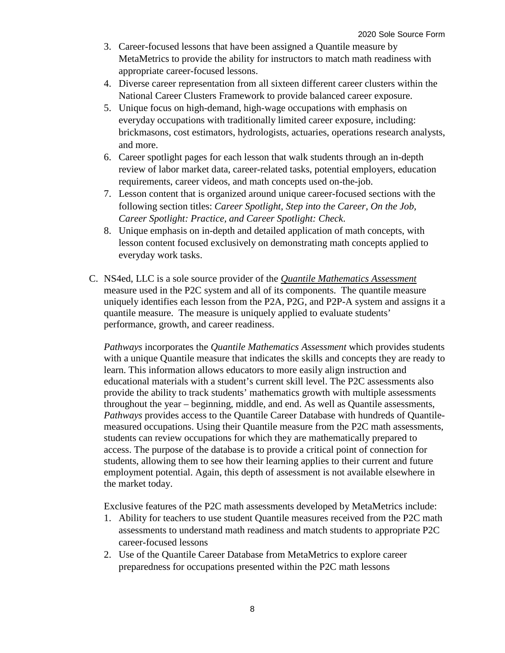- 3. Career-focused lessons that have been assigned a Quantile measure by MetaMetrics to provide the ability for instructors to match math readiness with appropriate career-focused lessons.
- 4. Diverse career representation from all sixteen different career clusters within the National Career Clusters Framework to provide balanced career exposure.
- 5. Unique focus on high-demand, high-wage occupations with emphasis on everyday occupations with traditionally limited career exposure, including: brickmasons, cost estimators, hydrologists, actuaries, operations research analysts, and more.
- 6. Career spotlight pages for each lesson that walk students through an in-depth review of labor market data, career-related tasks, potential employers, education requirements, career videos, and math concepts used on-the-job.
- 7. Lesson content that is organized around unique career-focused sections with the following section titles: *Career Spotlight, Step into the Career, On the Job, Career Spotlight: Practice, and Career Spotlight: Check*.
- 8. Unique emphasis on in-depth and detailed application of math concepts, with lesson content focused exclusively on demonstrating math concepts applied to everyday work tasks.
- C. NS4ed, LLC is a sole source provider of the *Quantile Mathematics Assessment* measure used in the P2C system and all of its components. The quantile measure uniquely identifies each lesson from the P2A, P2G, and P2P-A system and assigns it a quantile measure. The measure is uniquely applied to evaluate students' performance, growth, and career readiness.

*Pathways* incorporates the *Quantile Mathematics Assessment* which provides students with a unique Quantile measure that indicates the skills and concepts they are ready to learn. This information allows educators to more easily align instruction and educational materials with a student's current skill level. The P2C assessments also provide the ability to track students' mathematics growth with multiple assessments throughout the year – beginning, middle, and end. As well as Quantile assessments, *Pathways* provides access to the Quantile Career Database with hundreds of Quantilemeasured occupations. Using their Quantile measure from the P2C math assessments, students can review occupations for which they are mathematically prepared to access. The purpose of the database is to provide a critical point of connection for students, allowing them to see how their learning applies to their current and future employment potential. Again, this depth of assessment is not available elsewhere in the market today.

Exclusive features of the P2C math assessments developed by MetaMetrics include:

- 1. Ability for teachers to use student Quantile measures received from the P2C math assessments to understand math readiness and match students to appropriate P2C career-focused lessons
- 2. Use of the Quantile Career Database from MetaMetrics to explore career preparedness for occupations presented within the P2C math lessons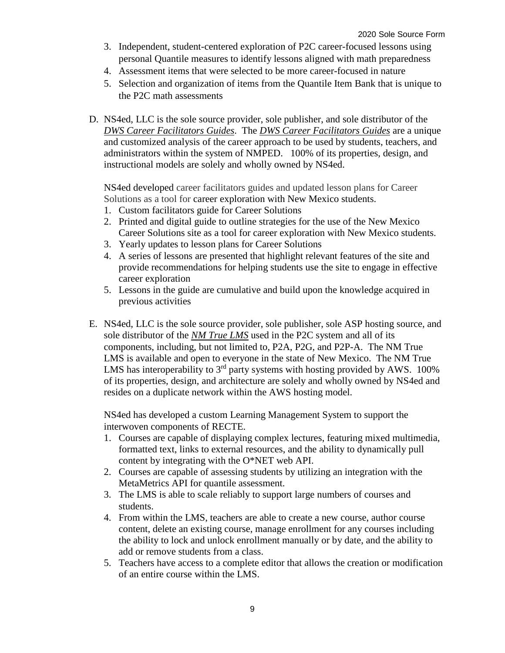- 3. Independent, student-centered exploration of P2C career-focused lessons using personal Quantile measures to identify lessons aligned with math preparedness
- 4. Assessment items that were selected to be more career-focused in nature
- 5. Selection and organization of items from the Quantile Item Bank that is unique to the P2C math assessments
- D. NS4ed, LLC is the sole source provider, sole publisher, and sole distributor of the *DWS Career Facilitators Guides*. The *DWS Career Facilitators Guides* are a unique and customized analysis of the career approach to be used by students, teachers, and administrators within the system of NMPED. 100% of its properties, design, and instructional models are solely and wholly owned by NS4ed.

NS4ed developed career facilitators guides and updated lesson plans for Career Solutions as a tool for career exploration with New Mexico students.

- 1. Custom facilitators guide for Career Solutions
- 2. Printed and digital guide to outline strategies for the use of the New Mexico Career Solutions site as a tool for career exploration with New Mexico students.
- 3. Yearly updates to lesson plans for Career Solutions
- 4. A series of lessons are presented that highlight relevant features of the site and provide recommendations for helping students use the site to engage in effective career exploration
- 5. Lessons in the guide are cumulative and build upon the knowledge acquired in previous activities
- E. NS4ed, LLC is the sole source provider, sole publisher, sole ASP hosting source, and sole distributor of the *NM True LMS* used in the P2C system and all of its components, including, but not limited to, P2A, P2G, and P2P-A. The NM True LMS is available and open to everyone in the state of New Mexico. The NM True LMS has interoperability to  $3<sup>rd</sup>$  party systems with hosting provided by AWS. 100% of its properties, design, and architecture are solely and wholly owned by NS4ed and resides on a duplicate network within the AWS hosting model.

NS4ed has developed a custom Learning Management System to support the interwoven components of RECTE.

- 1. Courses are capable of displaying complex lectures, featuring mixed multimedia, formatted text, links to external resources, and the ability to dynamically pull content by integrating with the O\*NET web API.
- 2. Courses are capable of assessing students by utilizing an integration with the MetaMetrics API for quantile assessment.
- 3. The LMS is able to scale reliably to support large numbers of courses and students.
- 4. From within the LMS, teachers are able to create a new course, author course content, delete an existing course, manage enrollment for any courses including the ability to lock and unlock enrollment manually or by date, and the ability to add or remove students from a class.
- 5. Teachers have access to a complete editor that allows the creation or modification of an entire course within the LMS.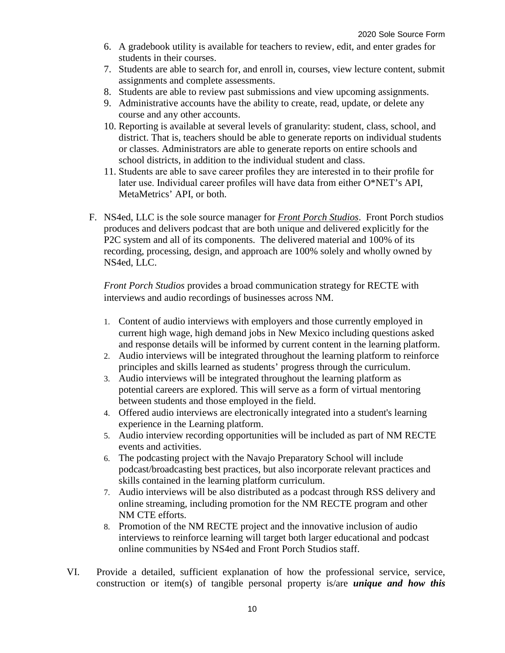- 6. A gradebook utility is available for teachers to review, edit, and enter grades for students in their courses.
- 7. Students are able to search for, and enroll in, courses, view lecture content, submit assignments and complete assessments.
- 8. Students are able to review past submissions and view upcoming assignments.
- 9. Administrative accounts have the ability to create, read, update, or delete any course and any other accounts.
- 10. Reporting is available at several levels of granularity: student, class, school, and district. That is, teachers should be able to generate reports on individual students or classes. Administrators are able to generate reports on entire schools and school districts, in addition to the individual student and class.
- 11. Students are able to save career profiles they are interested in to their profile for later use. Individual career profiles will have data from either O\*NET's API, MetaMetrics' API, or both.
- F. NS4ed, LLC is the sole source manager for *Front Porch Studios*. Front Porch studios produces and delivers podcast that are both unique and delivered explicitly for the P2C system and all of its components. The delivered material and 100% of its recording, processing, design, and approach are 100% solely and wholly owned by NS4ed, LLC.

*Front Porch Studios* provides a broad communication strategy for RECTE with interviews and audio recordings of businesses across NM.

- 1. Content of audio interviews with employers and those currently employed in current high wage, high demand jobs in New Mexico including questions asked and response details will be informed by current content in the learning platform.
- 2. Audio interviews will be integrated throughout the learning platform to reinforce principles and skills learned as students' progress through the curriculum.
- 3. Audio interviews will be integrated throughout the learning platform as potential careers are explored. This will serve as a form of virtual mentoring between students and those employed in the field.
- 4. Offered audio interviews are electronically integrated into a student's learning experience in the Learning platform.
- 5. Audio interview recording opportunities will be included as part of NM RECTE events and activities.
- 6. The podcasting project with the Navajo Preparatory School will include podcast/broadcasting best practices, but also incorporate relevant practices and skills contained in the learning platform curriculum.
- 7. Audio interviews will be also distributed as a podcast through RSS delivery and online streaming, including promotion for the NM RECTE program and other NM CTE efforts.
- 8. Promotion of the NM RECTE project and the innovative inclusion of audio interviews to reinforce learning will target both larger educational and podcast online communities by NS4ed and Front Porch Studios staff.
- VI. Provide a detailed, sufficient explanation of how the professional service, service, construction or item(s) of tangible personal property is/are *unique and how this*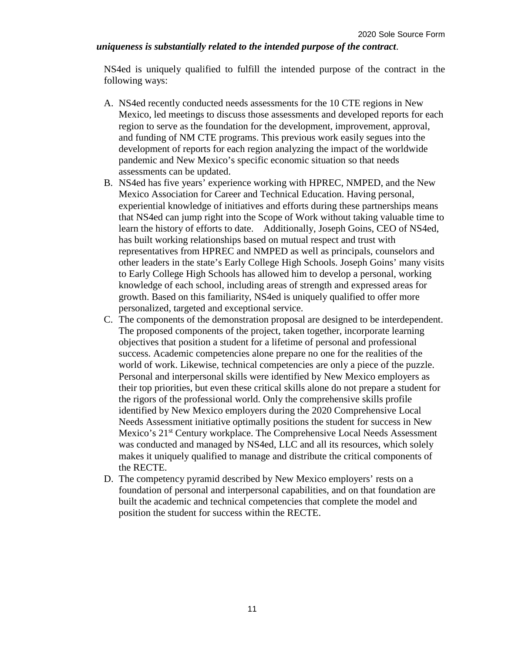#### *uniqueness is substantially related to the intended purpose of the contract*.

NS4ed is uniquely qualified to fulfill the intended purpose of the contract in the following ways:

- A. NS4ed recently conducted needs assessments for the 10 CTE regions in New Mexico, led meetings to discuss those assessments and developed reports for each region to serve as the foundation for the development, improvement, approval, and funding of NM CTE programs. This previous work easily segues into the development of reports for each region analyzing the impact of the worldwide pandemic and New Mexico's specific economic situation so that needs assessments can be updated.
- B. NS4ed has five years' experience working with HPREC, NMPED, and the New Mexico Association for Career and Technical Education. Having personal, experiential knowledge of initiatives and efforts during these partnerships means that NS4ed can jump right into the Scope of Work without taking valuable time to learn the history of efforts to date. Additionally, Joseph Goins, CEO of NS4ed, has built working relationships based on mutual respect and trust with representatives from HPREC and NMPED as well as principals, counselors and other leaders in the state's Early College High Schools. Joseph Goins' many visits to Early College High Schools has allowed him to develop a personal, working knowledge of each school, including areas of strength and expressed areas for growth. Based on this familiarity, NS4ed is uniquely qualified to offer more personalized, targeted and exceptional service.
- C. The components of the demonstration proposal are designed to be interdependent. The proposed components of the project, taken together, incorporate learning objectives that position a student for a lifetime of personal and professional success. Academic competencies alone prepare no one for the realities of the world of work. Likewise, technical competencies are only a piece of the puzzle. Personal and interpersonal skills were identified by New Mexico employers as their top priorities, but even these critical skills alone do not prepare a student for the rigors of the professional world. Only the comprehensive skills profile identified by New Mexico employers during the 2020 Comprehensive Local Needs Assessment initiative optimally positions the student for success in New Mexico's 21<sup>st</sup> Century workplace. The Comprehensive Local Needs Assessment was conducted and managed by NS4ed, LLC and all its resources, which solely makes it uniquely qualified to manage and distribute the critical components of the RECTE.
- D. The competency pyramid described by New Mexico employers' rests on a foundation of personal and interpersonal capabilities, and on that foundation are built the academic and technical competencies that complete the model and position the student for success within the RECTE.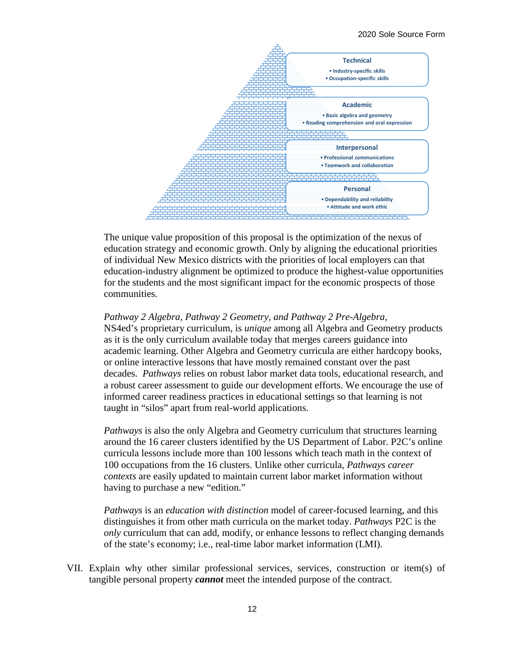

The unique value proposition of this proposal is the optimization of the nexus of education strategy and economic growth. Only by aligning the educational priorities of individual New Mexico districts with the priorities of local employers can that education-industry alignment be optimized to produce the highest-value opportunities for the students and the most significant impact for the economic prospects of those communities.

#### *Pathway 2 Algebra, Pathway 2 Geometry, and Pathway 2 Pre-Algebra,*

NS4ed's proprietary curriculum, is *unique* among all Algebra and Geometry products as it is the only curriculum available today that merges careers guidance into academic learning. Other Algebra and Geometry curricula are either hardcopy books, or online interactive lessons that have mostly remained constant over the past decades. *Pathways* relies on robust labor market data tools, educational research, and a robust career assessment to guide our development efforts. We encourage the use of informed career readiness practices in educational settings so that learning is not taught in "silos" apart from real-world applications.

*Pathways* is also the only Algebra and Geometry curriculum that structures learning around the 16 career clusters identified by the US Department of Labor. P2C's online curricula lessons include more than 100 lessons which teach math in the context of 100 occupations from the 16 clusters. Unlike other curricula, *Pathways career contexts* are easily updated to maintain current labor market information without having to purchase a new "edition."

*Pathways* is an *education with distinction* model of career-focused learning, and this distinguishes it from other math curricula on the market today. *Pathways* P2C is the *only* curriculum that can add, modify, or enhance lessons to reflect changing demands of the state's economy; i.e., real-time labor market information (LMI).

VII. Explain why other similar professional services, services, construction or item(s) of tangible personal property *cannot* meet the intended purpose of the contract.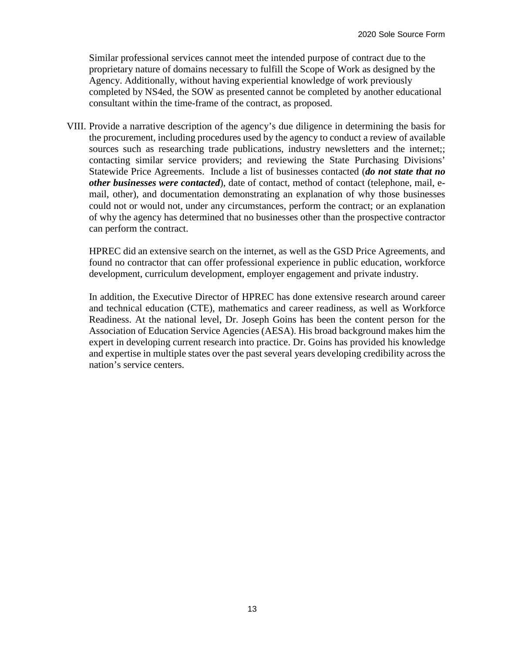Similar professional services cannot meet the intended purpose of contract due to the proprietary nature of domains necessary to fulfill the Scope of Work as designed by the Agency. Additionally, without having experiential knowledge of work previously completed by NS4ed, the SOW as presented cannot be completed by another educational consultant within the time-frame of the contract, as proposed.

VIII. Provide a narrative description of the agency's due diligence in determining the basis for the procurement, including procedures used by the agency to conduct a review of available sources such as researching trade publications, industry newsletters and the internet;; contacting similar service providers; and reviewing the State Purchasing Divisions' Statewide Price Agreements. Include a list of businesses contacted (*do not state that no other businesses were contacted*), date of contact, method of contact (telephone, mail, email, other), and documentation demonstrating an explanation of why those businesses could not or would not, under any circumstances, perform the contract; or an explanation of why the agency has determined that no businesses other than the prospective contractor can perform the contract.

HPREC did an extensive search on the internet, as well as the GSD Price Agreements, and found no contractor that can offer professional experience in public education, workforce development, curriculum development, employer engagement and private industry.

In addition, the Executive Director of HPREC has done extensive research around career and technical education (CTE), mathematics and career readiness, as well as Workforce Readiness. At the national level, Dr. Joseph Goins has been the content person for the Association of Education Service Agencies (AESA). His broad background makes him the expert in developing current research into practice. Dr. Goins has provided his knowledge and expertise in multiple states over the past several years developing credibility across the nation's service centers.